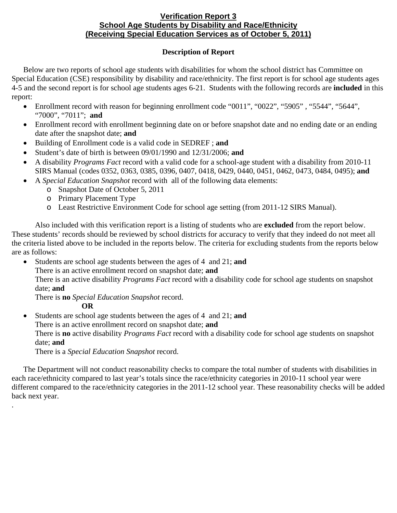## **Verification Report 3 School Age Students by Disability and Race/Ethnicity (Receiving Special Education Services as of October 5, 2011)**

## **Description of Report**

Below are two reports of school age students with disabilities for whom the school district has Committee on Special Education (CSE) responsibility by disability and race/ethnicity. The first report is for school age students ages 4-5 and the second report is for school age students ages 6-21. Students with the following records are **included** in this report:

- Enrollment record with reason for beginning enrollment code "0011", "0022", "5905", "5544", "5644", "7000", "7011"; **and**
- Enrollment record with enrollment beginning date on or before snapshot date and no ending date or an ending date after the snapshot date; **and**
- Building of Enrollment code is a valid code in SEDREF ; **and**
- Student's date of birth is between 09/01/1990 and 12/31/2006; **and**
- A disability *Programs Fact* record with a valid code for a school-age student with a disability from 2010-11 SIRS Manual (codes 0352, 0363, 0385, 0396, 0407, 0418, 0429, 0440, 0451, 0462, 0473, 0484, 0495); **and**
- A *Special Education Snapshot* record with all of the following data elements:
	- o Snapshot Date of October 5, 2011
		- o Primary Placement Type
		- o Least Restrictive Environment Code for school age setting (from 2011-12 SIRS Manual).

Also included with this verification report is a listing of students who are **excluded** from the report below. These students' records should be reviewed by school districts for accuracy to verify that they indeed do not meet all the criteria listed above to be included in the reports below. The criteria for excluding students from the reports below are as follows:

- Students are school age students between the ages of 4 and 21; **and** 
	- There is an active enrollment record on snapshot date; **and**

There is an active disability *Programs Fact* record with a disability code for school age students on snapshot date; **and**

There is **no** *Special Education Snapshot* record.

**OR** 

.

- Students are school age students between the ages of 4 and 21; **and**
	- There is an active enrollment record on snapshot date; **and**

There is **no** active disability *Programs Fact* record with a disability code for school age students on snapshot date; **and**

There is a *Special Education Snapshot* record.

The Department will not conduct reasonability checks to compare the total number of students with disabilities in each race/ethnicity compared to last year's totals since the race/ethnicity categories in 2010-11 school year were different compared to the race/ethnicity categories in the 2011-12 school year. These reasonability checks will be added back next year.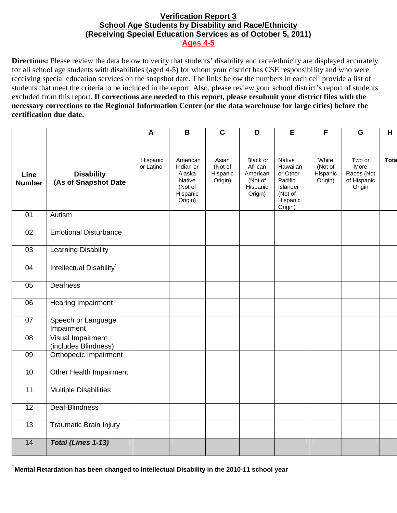## **Verification Report 3 School Age Students by Disability and Race/Ethnicity (Receiving Special Education Services as of October 5, 2011) Ages 4-5**

**Directions:** Please review the data below to verify that students' disability and race/ethnicity are displayed accurately for all school age students with disabilities (aged 4-5) for whom your district has CSE responsibility and who were receiving special education services on the snapshot date. The links below the numbers in each cell provide a list of students that meet the criteria to be included in the report. Also, please review your school district's report of students excluded from this report. **If corrections are needed to this report, please resubmit your district files with the necessary corrections to the Regional Information Center (or the data warehouse for large cities) before the certification due date.**

|                       |                                                  | $\mathbf{A}$          | B                                                                                  | $\mathbf c$                             | D                                                                 | E                                                                                       | F                                       | G                                                     | H    |
|-----------------------|--------------------------------------------------|-----------------------|------------------------------------------------------------------------------------|-----------------------------------------|-------------------------------------------------------------------|-----------------------------------------------------------------------------------------|-----------------------------------------|-------------------------------------------------------|------|
|                       |                                                  |                       |                                                                                    |                                         |                                                                   |                                                                                         |                                         |                                                       |      |
| Line<br><b>Number</b> | <b>Disability</b><br>(As of Snapshot Date        | Hispanic<br>or Latino | American<br>Indian or<br>Alaska<br><b>Native</b><br>(Not of<br>Hispanic<br>Origin) | Asian<br>(Not of<br>Hispanic<br>Origin) | Black or<br>African<br>American<br>(Not of<br>Hispanic<br>Origin) | Native<br>Hawaiian<br>or Other<br>Pacific<br>Islander<br>(Not of<br>Hispanic<br>Origin) | White<br>(Not of<br>Hispanic<br>Origin) | Two or<br>More<br>Races (Not<br>of Hispanic<br>Origin | Tota |
| 01                    | Autism                                           |                       |                                                                                    |                                         |                                                                   |                                                                                         |                                         |                                                       |      |
| 02                    | <b>Emotional Disturbance</b>                     |                       |                                                                                    |                                         |                                                                   |                                                                                         |                                         |                                                       |      |
| 03                    | <b>Learning Disability</b>                       |                       |                                                                                    |                                         |                                                                   |                                                                                         |                                         |                                                       |      |
| 04                    | Intellectual Disability <sup>1</sup>             |                       |                                                                                    |                                         |                                                                   |                                                                                         |                                         |                                                       |      |
| $\overline{05}$       | <b>Deafness</b>                                  |                       |                                                                                    |                                         |                                                                   |                                                                                         |                                         |                                                       |      |
| 06                    | Hearing Impairment                               |                       |                                                                                    |                                         |                                                                   |                                                                                         |                                         |                                                       |      |
| 07                    | Speech or Language<br>Impairment                 |                       |                                                                                    |                                         |                                                                   |                                                                                         |                                         |                                                       |      |
| 08                    | <b>Visual Impairment</b><br>(includes Blindness) |                       |                                                                                    |                                         |                                                                   |                                                                                         |                                         |                                                       |      |
| 09                    | Orthopedic Impairment                            |                       |                                                                                    |                                         |                                                                   |                                                                                         |                                         |                                                       |      |
| 10                    | Other Health Impairment                          |                       |                                                                                    |                                         |                                                                   |                                                                                         |                                         |                                                       |      |
| $\overline{11}$       | <b>Multiple Disabilities</b>                     |                       |                                                                                    |                                         |                                                                   |                                                                                         |                                         |                                                       |      |
| $\overline{12}$       | Deaf-Blindness                                   |                       |                                                                                    |                                         |                                                                   |                                                                                         |                                         |                                                       |      |
| $\overline{13}$       | <b>Traumatic Brain Injury</b>                    |                       |                                                                                    |                                         |                                                                   |                                                                                         |                                         |                                                       |      |
| 14                    | Total (Lines 1-13)                               |                       |                                                                                    |                                         |                                                                   |                                                                                         |                                         |                                                       |      |

1 **Mental Retardation has been changed to Intellectual Disability in the 2010-11 school year**